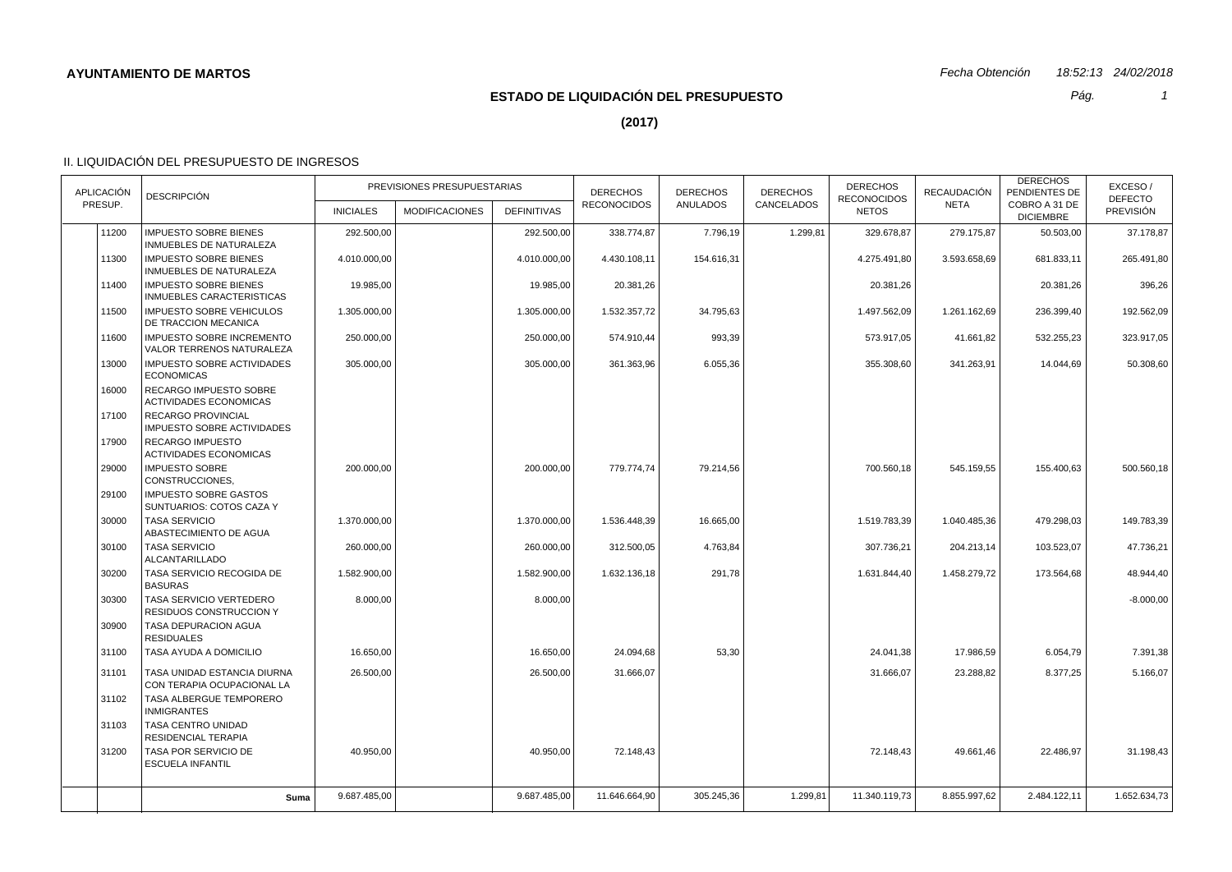*Pág.*

*1*

**(2017)**

| <b>APLICACIÓN</b> |       | <b>DESCRIPCIÓN</b>                                             | PREVISIONES PRESUPUESTARIAS |                       |                    | <b>DERECHOS</b>    | <b>DERECHOS</b> | <b>DERECHOS</b><br>CANCELADOS | <b>DERECHOS</b><br><b>RECONOCIDOS</b> | <b>RECAUDACIÓN</b> | <b>DERECHOS</b><br>PENDIENTES DE  | EXCESO/<br><b>DEFECTO</b> |
|-------------------|-------|----------------------------------------------------------------|-----------------------------|-----------------------|--------------------|--------------------|-----------------|-------------------------------|---------------------------------------|--------------------|-----------------------------------|---------------------------|
| PRESUP.           |       |                                                                | <b>INICIALES</b>            | <b>MODIFICACIONES</b> | <b>DEFINITIVAS</b> | <b>RECONOCIDOS</b> | ANULADOS        |                               | <b>NETOS</b>                          | <b>NETA</b>        | COBRO A 31 DE<br><b>DICIEMBRE</b> | <b>PREVISIÓN</b>          |
|                   | 11200 | <b>IMPUESTO SOBRE BIENES</b><br>INMUEBLES DE NATURALEZA        | 292.500,00                  |                       | 292.500,00         | 338.774,87         | 7.796,19        | 1.299,81                      | 329.678,87                            | 279.175,87         | 50.503,00                         | 37.178,87                 |
|                   | 11300 | <b>IMPUESTO SOBRE BIENES</b><br>INMUEBLES DE NATURALEZA        | 4.010.000,00                |                       | 4.010.000,00       | 4.430.108,11       | 154.616,31      |                               | 4.275.491,80                          | 3.593.658,69       | 681.833,11                        | 265.491,80                |
|                   | 11400 | <b>IMPUESTO SOBRE BIENES</b><br>INMUEBLES CARACTERISTICAS      | 19.985,00                   |                       | 19.985,00          | 20.381,26          |                 |                               | 20.381,26                             |                    | 20.381,26                         | 396,26                    |
|                   | 11500 | <b>IMPUESTO SOBRE VEHICULOS</b><br>DE TRACCION MECANICA        | 1.305.000,00                |                       | 1.305.000,00       | 1.532.357,72       | 34.795,63       |                               | 1.497.562,09                          | 1.261.162,69       | 236.399,40                        | 192.562,09                |
|                   | 11600 | <b>IMPUESTO SOBRE INCREMENTO</b><br>VALOR TERRENOS NATURALEZA  | 250.000,00                  |                       | 250.000,00         | 574.910,44         | 993,39          |                               | 573.917.05                            | 41.661,82          | 532.255,23                        | 323.917,05                |
|                   | 13000 | <b>IMPUESTO SOBRE ACTIVIDADES</b><br><b>ECONOMICAS</b>         | 305.000,00                  |                       | 305.000,00         | 361.363,96         | 6.055,36        |                               | 355.308,60                            | 341.263,91         | 14.044,69                         | 50.308,60                 |
|                   | 16000 | <b>RECARGO IMPUESTO SOBRE</b><br><b>ACTIVIDADES ECONOMICAS</b> |                             |                       |                    |                    |                 |                               |                                       |                    |                                   |                           |
|                   | 17100 | RECARGO PROVINCIAL<br><b>IMPUESTO SOBRE ACTIVIDADES</b>        |                             |                       |                    |                    |                 |                               |                                       |                    |                                   |                           |
|                   | 17900 | <b>RECARGO IMPUESTO</b><br><b>ACTIVIDADES ECONOMICAS</b>       |                             |                       |                    |                    |                 |                               |                                       |                    |                                   |                           |
|                   | 29000 | <b>IMPUESTO SOBRE</b><br>CONSTRUCCIONES.                       | 200.000,00                  |                       | 200.000,00         | 779.774,74         | 79.214,56       |                               | 700.560,18                            | 545.159,55         | 155.400,63                        | 500.560,18                |
|                   | 29100 | <b>IMPUESTO SOBRE GASTOS</b><br>SUNTUARIOS: COTOS CAZA Y       |                             |                       |                    |                    |                 |                               |                                       |                    |                                   |                           |
|                   | 30000 | <b>TASA SERVICIO</b><br>ABASTECIMIENTO DE AGUA                 | 1.370.000.00                |                       | 1.370.000.00       | 1.536.448.39       | 16.665,00       |                               | 1.519.783.39                          | 1.040.485.36       | 479.298.03                        | 149.783.39                |
|                   | 30100 | <b>TASA SERVICIO</b><br><b>ALCANTARILLADO</b>                  | 260.000,00                  |                       | 260.000,00         | 312.500,05         | 4.763,84        |                               | 307.736,21                            | 204.213,14         | 103.523.07                        | 47.736,21                 |
|                   | 30200 | TASA SERVICIO RECOGIDA DE<br><b>BASURAS</b>                    | 1.582.900.00                |                       | 1.582.900,00       | 1.632.136,18       | 291.78          |                               | 1.631.844,40                          | 1.458.279,72       | 173.564,68                        | 48.944,40                 |
|                   | 30300 | TASA SERVICIO VERTEDERO<br><b>RESIDUOS CONSTRUCCION Y</b>      | 8.000,00                    |                       | 8.000,00           |                    |                 |                               |                                       |                    |                                   | $-8.000,00$               |
|                   | 30900 | TASA DEPURACION AGUA<br><b>RESIDUALES</b>                      |                             |                       |                    |                    |                 |                               |                                       |                    |                                   |                           |
|                   | 31100 | TASA AYUDA A DOMICILIO                                         | 16.650,00                   |                       | 16.650,00          | 24.094,68          | 53,30           |                               | 24.041,38                             | 17.986,59          | 6.054,79                          | 7.391,38                  |
|                   | 31101 | TASA UNIDAD ESTANCIA DIURNA<br>CON TERAPIA OCUPACIONAL LA      | 26.500,00                   |                       | 26.500,00          | 31.666,07          |                 |                               | 31.666,07                             | 23.288,82          | 8.377,25                          | 5.166,07                  |
|                   | 31102 | TASA ALBERGUE TEMPORERO<br><b>INMIGRANTES</b>                  |                             |                       |                    |                    |                 |                               |                                       |                    |                                   |                           |
|                   | 31103 | TASA CENTRO UNIDAD<br><b>RESIDENCIAL TERAPIA</b>               |                             |                       |                    |                    |                 |                               |                                       |                    |                                   |                           |
|                   | 31200 | TASA POR SERVICIO DE<br><b>ESCUELA INFANTIL</b>                | 40.950,00                   |                       | 40.950,00          | 72.148,43          |                 |                               | 72.148,43                             | 49.661,46          | 22.486,97                         | 31.198,43                 |
|                   |       |                                                                | 9.687.485.00                |                       | 9.687.485,00       | 11.646.664.90      | 305.245.36      | 1.299,81                      | 11.340.119.73                         | 8.855.997.62       | 2.484.122,11                      | 1.652.634.73              |
|                   |       | Suma                                                           |                             |                       |                    |                    |                 |                               |                                       |                    |                                   |                           |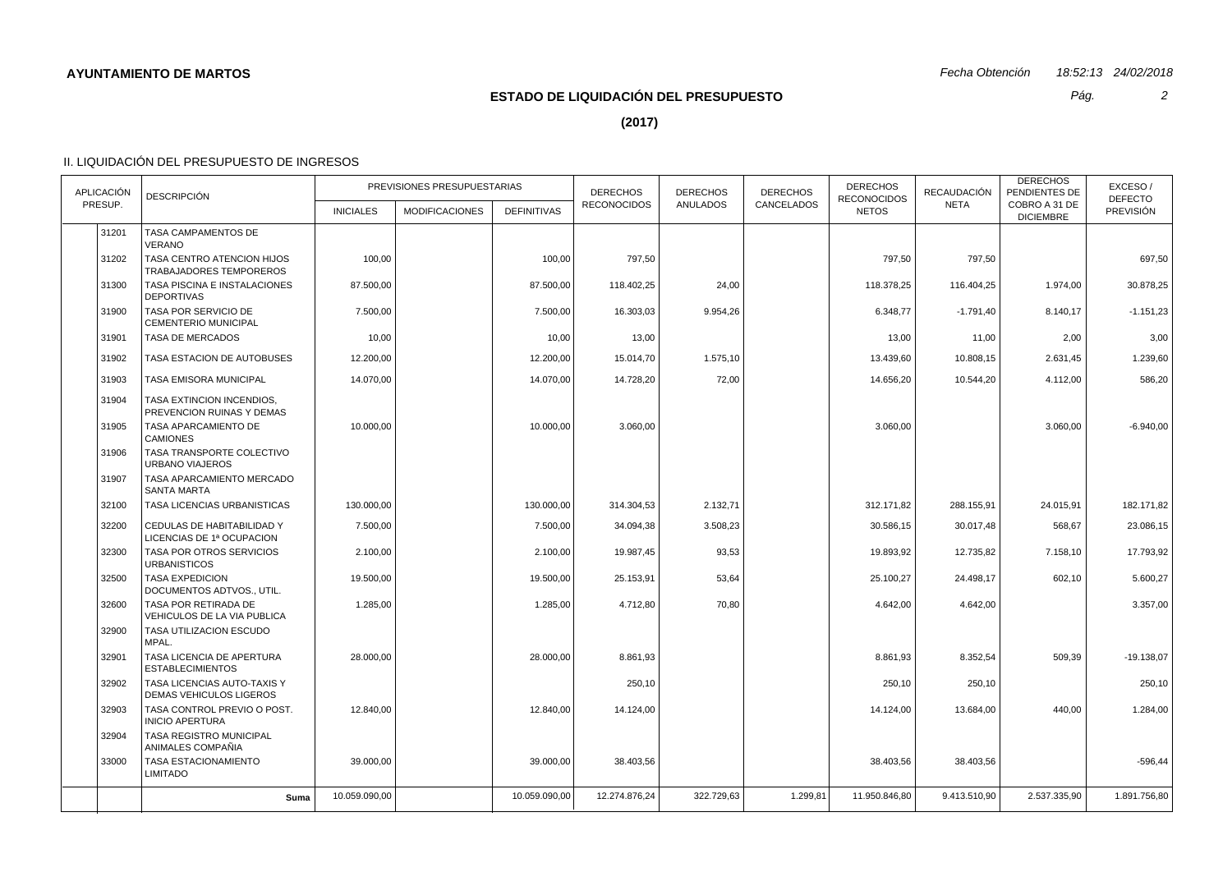# **ESTADO DE LIQUIDACIÓN DEL PRESUPUESTO**

*Pág.*

**(2017)**

## II. LIQUIDACIÓN DEL PRESUPUESTO DE INGRESOS

| <b>APLICACIÓN</b> | <b>DESCRIPCIÓN</b>                                            | PREVISIONES PRESUPUESTARIAS |                       |                    | <b>DERECHOS</b><br><b>RECONOCIDOS</b> | <b>DERECHOS</b><br><b>ANULADOS</b> | <b>DERECHOS</b><br>CANCELADOS | <b>DERECHOS</b><br><b>RECONOCIDOS</b> | <b>RECAUDACIÓN</b> | <b>DERECHOS</b><br>PENDIENTES DE  | EXCESO/<br><b>DEFECTO</b> |
|-------------------|---------------------------------------------------------------|-----------------------------|-----------------------|--------------------|---------------------------------------|------------------------------------|-------------------------------|---------------------------------------|--------------------|-----------------------------------|---------------------------|
| PRESUP.           |                                                               | <b>INICIALES</b>            | <b>MODIFICACIONES</b> | <b>DEFINITIVAS</b> |                                       |                                    |                               | <b>NETOS</b>                          | <b>NETA</b>        | COBRO A 31 DE<br><b>DICIEMBRE</b> | PREVISIÓN                 |
| 31201             | TASA CAMPAMENTOS DE<br><b>VERANO</b>                          |                             |                       |                    |                                       |                                    |                               |                                       |                    |                                   |                           |
| 31202             | TASA CENTRO ATENCION HIJOS<br>TRABAJADORES TEMPOREROS         | 100,00                      |                       | 100,00             | 797,50                                |                                    |                               | 797,50                                | 797,50             |                                   | 697,50                    |
| 31300             | TASA PISCINA E INSTALACIONES<br><b>DEPORTIVAS</b>             | 87.500,00                   |                       | 87.500,00          | 118.402,25                            | 24,00                              |                               | 118.378,25                            | 116.404,25         | 1.974,00                          | 30.878,25                 |
| 31900             | TASA POR SERVICIO DE<br>CEMENTERIO MUNICIPAL                  | 7.500,00                    |                       | 7.500,00           | 16.303,03                             | 9.954,26                           |                               | 6.348,77                              | $-1.791,40$        | 8.140,17                          | $-1.151,23$               |
| 31901             | TASA DE MERCADOS                                              | 10,00                       |                       | 10,00              | 13,00                                 |                                    |                               | 13,00                                 | 11,00              | 2,00                              | 3,00                      |
| 31902             | TASA ESTACION DE AUTOBUSES                                    | 12.200,00                   |                       | 12.200,00          | 15.014,70                             | 1.575,10                           |                               | 13.439,60                             | 10.808,15          | 2.631,45                          | 1.239,60                  |
| 31903             | TASA EMISORA MUNICIPAL                                        | 14.070,00                   |                       | 14.070,00          | 14.728,20                             | 72,00                              |                               | 14.656,20                             | 10.544,20          | 4.112,00                          | 586,20                    |
| 31904             | TASA EXTINCION INCENDIOS,<br>PREVENCION RUINAS Y DEMAS        |                             |                       |                    |                                       |                                    |                               |                                       |                    |                                   |                           |
| 31905             | TASA APARCAMIENTO DE<br><b>CAMIONES</b>                       | 10.000,00                   |                       | 10.000,00          | 3.060,00                              |                                    |                               | 3.060,00                              |                    | 3.060,00                          | $-6.940,00$               |
| 31906             | TASA TRANSPORTE COLECTIVO<br><b>URBANO VIAJEROS</b>           |                             |                       |                    |                                       |                                    |                               |                                       |                    |                                   |                           |
| 31907             | TASA APARCAMIENTO MERCADO<br><b>SANTA MARTA</b>               |                             |                       |                    |                                       |                                    |                               |                                       |                    |                                   |                           |
| 32100             | TASA LICENCIAS URBANISTICAS                                   | 130.000,00                  |                       | 130.000,00         | 314.304,53                            | 2.132,71                           |                               | 312.171,82                            | 288.155,91         | 24.015,91                         | 182.171,82                |
| 32200             | CEDULAS DE HABITABILIDAD Y<br>LICENCIAS DE 1ª OCUPACION       | 7.500,00                    |                       | 7.500,00           | 34.094,38                             | 3.508,23                           |                               | 30.586,15                             | 30.017,48          | 568,67                            | 23.086,15                 |
| 32300             | TASA POR OTROS SERVICIOS<br><b>URBANISTICOS</b>               | 2.100,00                    |                       | 2.100,00           | 19.987,45                             | 93,53                              |                               | 19.893,92                             | 12.735,82          | 7.158,10                          | 17.793,92                 |
| 32500             | <b>TASA EXPEDICION</b><br>DOCUMENTOS ADTVOS., UTIL.           | 19.500,00                   |                       | 19.500,00          | 25.153,91                             | 53,64                              |                               | 25.100,27                             | 24.498,17          | 602,10                            | 5.600,27                  |
| 32600             | TASA POR RETIRADA DE<br>VEHICULOS DE LA VIA PUBLICA           | 1.285,00                    |                       | 1.285,00           | 4.712,80                              | 70,80                              |                               | 4.642,00                              | 4.642,00           |                                   | 3.357,00                  |
| 32900             | TASA UTILIZACION ESCUDO<br>MPAL.                              |                             |                       |                    |                                       |                                    |                               |                                       |                    |                                   |                           |
| 32901             | TASA LICENCIA DE APERTURA<br><b>ESTABLECIMIENTOS</b>          | 28.000,00                   |                       | 28.000,00          | 8.861,93                              |                                    |                               | 8.861,93                              | 8.352,54           | 509,39                            | $-19.138,07$              |
| 32902             | TASA LICENCIAS AUTO-TAXIS Y<br><b>DEMAS VEHICULOS LIGEROS</b> |                             |                       |                    | 250,10                                |                                    |                               | 250,10                                | 250,10             |                                   | 250,10                    |
| 32903             | TASA CONTROL PREVIO O POST.<br><b>INICIO APERTURA</b>         | 12.840,00                   |                       | 12.840,00          | 14.124,00                             |                                    |                               | 14.124,00                             | 13.684,00          | 440,00                            | 1.284,00                  |
| 32904             | TASA REGISTRO MUNICIPAL<br>ANIMALES COMPAÑIA                  |                             |                       |                    |                                       |                                    |                               |                                       |                    |                                   |                           |
| 33000             | TASA ESTACIONAMIENTO<br><b>LIMITADO</b>                       | 39.000,00                   |                       | 39.000,00          | 38.403,56                             |                                    |                               | 38.403,56                             | 38.403,56          |                                   | $-596,44$                 |
|                   | Suma                                                          | 10.059.090,00               |                       | 10.059.090,00      | 12.274.876,24                         | 322.729,63                         | 1.299,81                      | 11.950.846,80                         | 9.413.510,90       | 2.537.335,90                      | 1.891.756,80              |

*2*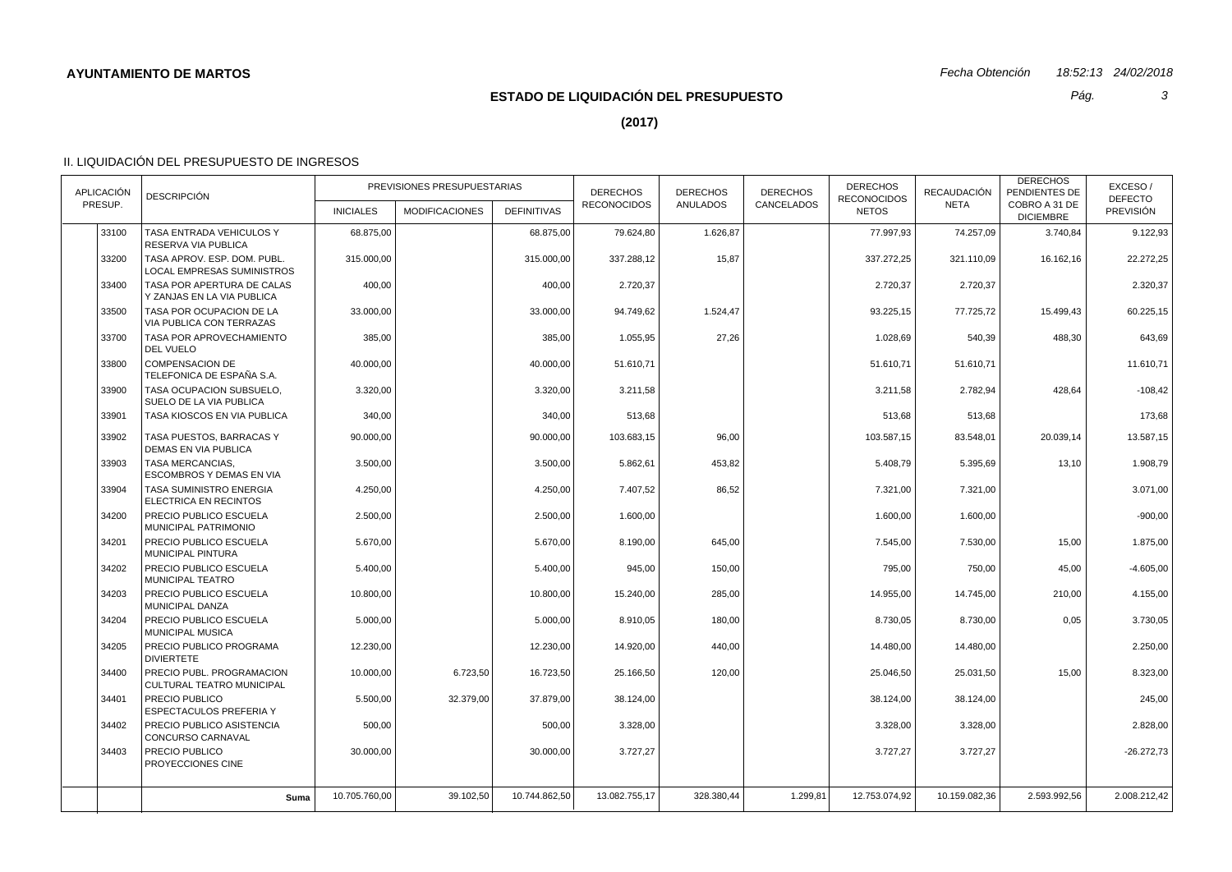*Pág.*

*3*

**(2017)**

| <b>APLICACIÓN</b><br>PRESUP. |       | <b>DESCRIPCIÓN</b>                                               | PREVISIONES PRESUPUESTARIAS |                       |                    | <b>DERECHOS</b><br><b>RECONOCIDOS</b> | <b>DERECHOS</b><br><b>ANULADOS</b> | <b>DERECHOS</b> | <b>DERECHOS</b><br><b>RECONOCIDOS</b> | <b>RECAUDACIÓN</b><br><b>NETA</b> | <b>DERECHOS</b><br>PENDIENTES DE  | EXCESO/<br><b>DEFECTO</b> |
|------------------------------|-------|------------------------------------------------------------------|-----------------------------|-----------------------|--------------------|---------------------------------------|------------------------------------|-----------------|---------------------------------------|-----------------------------------|-----------------------------------|---------------------------|
|                              |       |                                                                  | <b>INICIALES</b>            | <b>MODIFICACIONES</b> | <b>DEFINITIVAS</b> |                                       |                                    | CANCELADOS      | <b>NETOS</b>                          |                                   | COBRO A 31 DE<br><b>DICIEMBRE</b> | <b>PREVISIÓN</b>          |
|                              | 33100 | TASA ENTRADA VEHICULOS Y<br>RESERVA VIA PUBLICA                  | 68.875,00                   |                       | 68.875,00          | 79.624,80                             | 1.626,87                           |                 | 77.997,93                             | 74.257.09                         | 3.740,84                          | 9.122,93                  |
|                              | 33200 | TASA APROV. ESP. DOM. PUBL.<br><b>LOCAL EMPRESAS SUMINISTROS</b> | 315.000,00                  |                       | 315.000,00         | 337.288,12                            | 15,87                              |                 | 337.272,25                            | 321.110,09                        | 16.162,16                         | 22.272,25                 |
|                              | 33400 | TASA POR APERTURA DE CALAS<br>Y ZANJAS EN LA VIA PUBLICA         | 400,00                      |                       | 400,00             | 2.720,37                              |                                    |                 | 2.720,37                              | 2.720,37                          |                                   | 2.320,37                  |
|                              | 33500 | TASA POR OCUPACION DE LA<br>VIA PUBLICA CON TERRAZAS             | 33.000,00                   |                       | 33.000,00          | 94.749,62                             | 1.524,47                           |                 | 93.225,15                             | 77.725,72                         | 15.499,43                         | 60.225,15                 |
|                              | 33700 | TASA POR APROVECHAMIENTO<br>DEL VUELO                            | 385,00                      |                       | 385,00             | 1.055,95                              | 27,26                              |                 | 1.028,69                              | 540,39                            | 488,30                            | 643,69                    |
|                              | 33800 | <b>COMPENSACION DE</b><br>TELEFONICA DE ESPAÑA S.A.              | 40.000,00                   |                       | 40.000,00          | 51.610,71                             |                                    |                 | 51.610,71                             | 51.610,71                         |                                   | 11.610,71                 |
|                              | 33900 | TASA OCUPACION SUBSUELO.<br>SUELO DE LA VIA PUBLICA              | 3.320,00                    |                       | 3.320,00           | 3.211,58                              |                                    |                 | 3.211.58                              | 2.782,94                          | 428.64                            | $-108,42$                 |
|                              | 33901 | TASA KIOSCOS EN VIA PUBLICA                                      | 340,00                      |                       | 340,00             | 513,68                                |                                    |                 | 513,68                                | 513,68                            |                                   | 173,68                    |
|                              | 33902 | TASA PUESTOS, BARRACAS Y<br>DEMAS EN VIA PUBLICA                 | 90.000,00                   |                       | 90.000,00          | 103.683,15                            | 96,00                              |                 | 103.587,15                            | 83.548,01                         | 20.039,14                         | 13.587,15                 |
|                              | 33903 | <b>TASA MERCANCIAS.</b><br><b>ESCOMBROS Y DEMAS EN VIA</b>       | 3.500,00                    |                       | 3.500,00           | 5.862,61                              | 453,82                             |                 | 5.408,79                              | 5.395,69                          | 13,10                             | 1.908,79                  |
|                              | 33904 | TASA SUMINISTRO ENERGIA<br>ELECTRICA EN RECINTOS                 | 4.250,00                    |                       | 4.250,00           | 7.407,52                              | 86,52                              |                 | 7.321,00                              | 7.321,00                          |                                   | 3.071,00                  |
|                              | 34200 | PRECIO PUBLICO ESCUELA<br>MUNICIPAL PATRIMONIO                   | 2.500,00                    |                       | 2.500,00           | 1.600,00                              |                                    |                 | 1.600,00                              | 1.600,00                          |                                   | $-900,00$                 |
|                              | 34201 | PRECIO PUBLICO ESCUELA<br><b>MUNICIPAL PINTURA</b>               | 5.670,00                    |                       | 5.670,00           | 8.190,00                              | 645,00                             |                 | 7.545,00                              | 7.530,00                          | 15,00                             | 1.875,00                  |
|                              | 34202 | PRECIO PUBLICO ESCUELA<br><b>MUNICIPAL TEATRO</b>                | 5.400,00                    |                       | 5.400,00           | 945,00                                | 150,00                             |                 | 795,00                                | 750,00                            | 45,00                             | $-4.605,00$               |
|                              | 34203 | PRECIO PUBLICO ESCUELA<br><b>MUNICIPAL DANZA</b>                 | 10.800,00                   |                       | 10.800,00          | 15.240,00                             | 285,00                             |                 | 14.955,00                             | 14.745,00                         | 210,00                            | 4.155,00                  |
|                              | 34204 | PRECIO PUBLICO ESCUELA<br><b>MUNICIPAL MUSICA</b>                | 5.000,00                    |                       | 5.000,00           | 8.910,05                              | 180,00                             |                 | 8.730,05                              | 8.730,00                          | 0,05                              | 3.730,05                  |
|                              | 34205 | PRECIO PUBLICO PROGRAMA<br><b>DIVIERTETE</b>                     | 12.230,00                   |                       | 12.230,00          | 14.920,00                             | 440,00                             |                 | 14.480,00                             | 14.480,00                         |                                   | 2.250,00                  |
|                              | 34400 | PRECIO PUBL. PROGRAMACION<br>CULTURAL TEATRO MUNICIPAL           | 10.000,00                   | 6.723,50              | 16.723,50          | 25.166,50                             | 120,00                             |                 | 25.046,50                             | 25.031,50                         | 15,00                             | 8.323,00                  |
|                              | 34401 | <b>PRECIO PUBLICO</b><br>ESPECTACULOS PREFERIA Y                 | 5.500,00                    | 32.379,00             | 37.879,00          | 38.124,00                             |                                    |                 | 38.124,00                             | 38.124,00                         |                                   | 245,00                    |
|                              | 34402 | PRECIO PUBLICO ASISTENCIA<br>CONCURSO CARNAVAL                   | 500,00                      |                       | 500,00             | 3.328,00                              |                                    |                 | 3.328,00                              | 3.328,00                          |                                   | 2.828,00                  |
|                              | 34403 | PRECIO PUBLICO<br>PROYECCIONES CINE                              | 30.000,00                   |                       | 30.000,00          | 3.727,27                              |                                    |                 | 3.727,27                              | 3.727,27                          |                                   | $-26.272,73$              |
|                              |       |                                                                  | 10.705.760,00               | 39.102,50             | 10.744.862,50      | 13.082.755,17                         | 328.380,44                         | 1.299,81        | 12.753.074,92                         | 10.159.082,36                     | 2.593.992,56                      | 2.008.212,42              |
|                              |       | Suma                                                             |                             |                       |                    |                                       |                                    |                 |                                       |                                   |                                   |                           |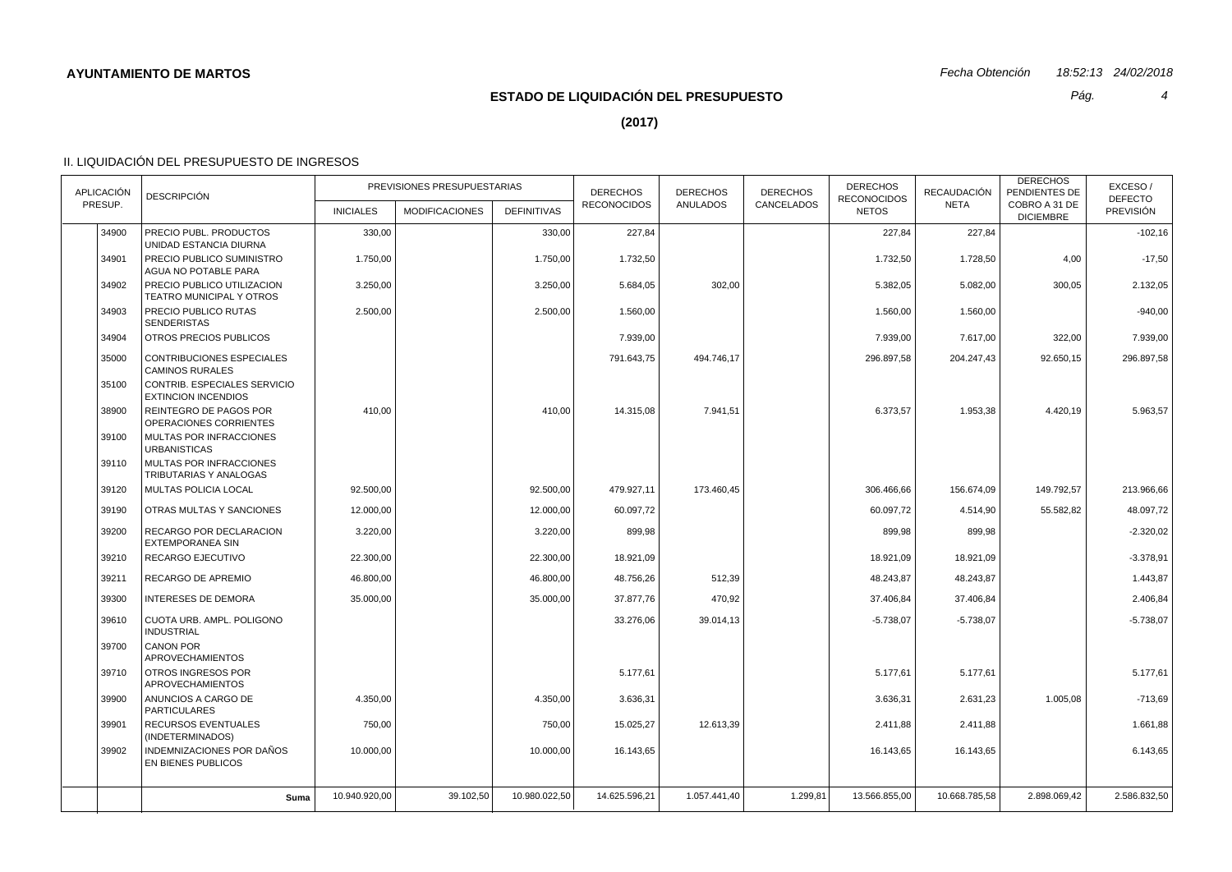# **ESTADO DE LIQUIDACIÓN DEL PRESUPUESTO**

*Pág.*

*4*

**(2017)**

| APLICACIÓN | <b>DESCRIPCIÓN</b>                                         | PREVISIONES PRESUPUESTARIAS |                       |                    | <b>DERECHOS</b><br><b>RECONOCIDOS</b> | <b>DERECHOS</b><br><b>ANULADOS</b> | <b>DERECHOS</b><br>CANCELADOS | <b>DERECHOS</b><br><b>RECONOCIDOS</b> | RECAUDACIÓN   | <b>DERECHOS</b><br>PENDIENTES DE  | EXCESO/<br><b>DEFECTO</b> |
|------------|------------------------------------------------------------|-----------------------------|-----------------------|--------------------|---------------------------------------|------------------------------------|-------------------------------|---------------------------------------|---------------|-----------------------------------|---------------------------|
| PRESUP.    |                                                            | <b>INICIALES</b>            | <b>MODIFICACIONES</b> | <b>DEFINITIVAS</b> |                                       |                                    |                               | <b>NETOS</b>                          | <b>NETA</b>   | COBRO A 31 DE<br><b>DICIEMBRE</b> | <b>PREVISIÓN</b>          |
| 34900      | PRECIO PUBL. PRODUCTOS<br>UNIDAD ESTANCIA DIURNA           | 330,00                      |                       | 330,00             | 227,84                                |                                    |                               | 227,84                                | 227,84        |                                   | $-102,16$                 |
| 34901      | PRECIO PUBLICO SUMINISTRO<br>AGUA NO POTABLE PARA          | 1.750,00                    |                       | 1.750,00           | 1.732,50                              |                                    |                               | 1.732,50                              | 1.728,50      | 4,00                              | $-17,50$                  |
| 34902      | PRECIO PUBLICO UTILIZACION<br>TEATRO MUNICIPAL Y OTROS     | 3.250,00                    |                       | 3.250,00           | 5.684,05                              | 302,00                             |                               | 5.382.05                              | 5.082,00      | 300,05                            | 2.132,05                  |
| 34903      | PRECIO PUBLICO RUTAS<br><b>SENDERISTAS</b>                 | 2.500,00                    |                       | 2.500,00           | 1.560,00                              |                                    |                               | 1.560,00                              | 1.560,00      |                                   | $-940,00$                 |
| 34904      | OTROS PRECIOS PUBLICOS                                     |                             |                       |                    | 7.939,00                              |                                    |                               | 7.939,00                              | 7.617,00      | 322,00                            | 7.939,00                  |
| 35000      | <b>CONTRIBUCIONES ESPECIALES</b><br><b>CAMINOS RURALES</b> |                             |                       |                    | 791.643,75                            | 494.746,17                         |                               | 296.897,58                            | 204.247,43    | 92.650,15                         | 296.897,58                |
| 35100      | CONTRIB. ESPECIALES SERVICIO<br><b>EXTINCION INCENDIOS</b> |                             |                       |                    |                                       |                                    |                               |                                       |               |                                   |                           |
| 38900      | REINTEGRO DE PAGOS POR<br>OPERACIONES CORRIENTES           | 410,00                      |                       | 410,00             | 14.315,08                             | 7.941,51                           |                               | 6.373,57                              | 1.953,38      | 4.420,19                          | 5.963,57                  |
| 39100      | <b>MULTAS POR INFRACCIONES</b><br><b>URBANISTICAS</b>      |                             |                       |                    |                                       |                                    |                               |                                       |               |                                   |                           |
| 39110      | MULTAS POR INFRACCIONES<br>TRIBUTARIAS Y ANALOGAS          |                             |                       |                    |                                       |                                    |                               |                                       |               |                                   |                           |
| 39120      | MULTAS POLICIA LOCAL                                       | 92.500,00                   |                       | 92.500,00          | 479.927,11                            | 173.460,45                         |                               | 306.466,66                            | 156.674,09    | 149.792,57                        | 213.966,66                |
| 39190      | OTRAS MULTAS Y SANCIONES                                   | 12.000,00                   |                       | 12.000,00          | 60.097,72                             |                                    |                               | 60.097,72                             | 4.514,90      | 55.582,82                         | 48.097,72                 |
| 39200      | RECARGO POR DECLARACION<br><b>EXTEMPORANEA SIN</b>         | 3.220,00                    |                       | 3.220,00           | 899,98                                |                                    |                               | 899,98                                | 899,98        |                                   | $-2.320,02$               |
| 39210      | <b>RECARGO EJECUTIVO</b>                                   | 22.300,00                   |                       | 22.300,00          | 18.921,09                             |                                    |                               | 18.921,09                             | 18.921,09     |                                   | $-3.378.91$               |
| 39211      | RECARGO DE APREMIO                                         | 46.800,00                   |                       | 46.800,00          | 48.756,26                             | 512,39                             |                               | 48.243,87                             | 48.243,87     |                                   | 1.443,87                  |
| 39300      | <b>INTERESES DE DEMORA</b>                                 | 35.000,00                   |                       | 35.000,00          | 37.877,76                             | 470,92                             |                               | 37.406,84                             | 37.406,84     |                                   | 2.406,84                  |
| 39610      | CUOTA URB. AMPL. POLIGONO<br><b>INDUSTRIAL</b>             |                             |                       |                    | 33.276,06                             | 39.014,13                          |                               | $-5.738,07$                           | $-5.738,07$   |                                   | $-5.738,07$               |
| 39700      | <b>CANON POR</b><br><b>APROVECHAMIENTOS</b>                |                             |                       |                    |                                       |                                    |                               |                                       |               |                                   |                           |
| 39710      | <b>OTROS INGRESOS POR</b><br><b>APROVECHAMIENTOS</b>       |                             |                       |                    | 5.177,61                              |                                    |                               | 5.177,61                              | 5.177,61      |                                   | 5.177,61                  |
| 39900      | ANUNCIOS A CARGO DE<br><b>PARTICULARES</b>                 | 4.350,00                    |                       | 4.350,00           | 3.636,31                              |                                    |                               | 3.636,31                              | 2.631,23      | 1.005,08                          | $-713,69$                 |
| 39901      | <b>RECURSOS EVENTUALES</b><br>(INDETERMINADOS)             | 750,00                      |                       | 750,00             | 15.025,27                             | 12.613,39                          |                               | 2.411,88                              | 2.411,88      |                                   | 1.661,88                  |
| 39902      | INDEMNIZACIONES POR DAÑOS<br>EN BIENES PUBLICOS            | 10.000,00                   |                       | 10.000,00          | 16.143,65                             |                                    |                               | 16.143,65                             | 16.143,65     |                                   | 6.143,65                  |
|            |                                                            | 10.940.920,00               | 39.102,50             | 10.980.022,50      | 14.625.596,21                         | 1.057.441,40                       | 1.299,81                      | 13.566.855,00                         | 10.668.785,58 | 2.898.069,42                      | 2.586.832,50              |
|            | Suma                                                       |                             |                       |                    |                                       |                                    |                               |                                       |               |                                   |                           |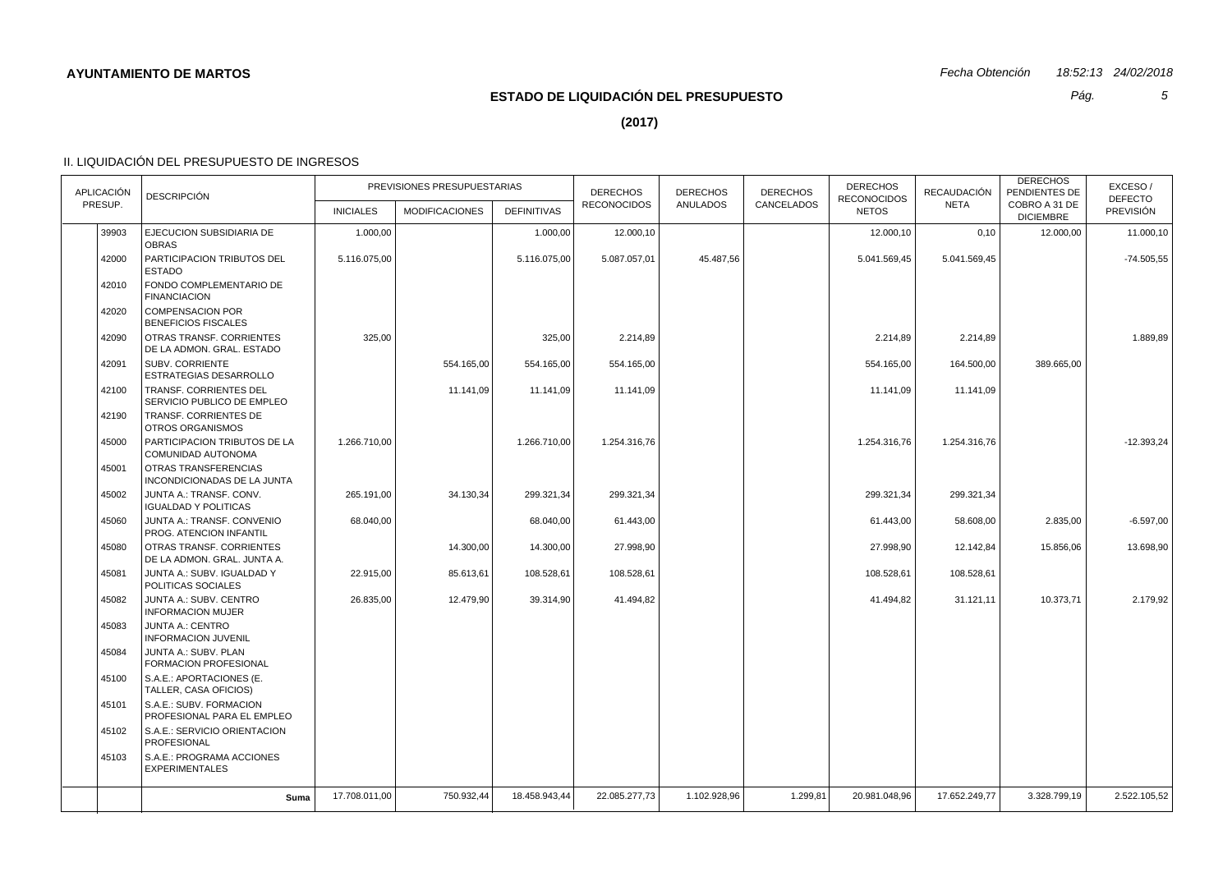# **ESTADO DE LIQUIDACIÓN DEL PRESUPUESTO**

*Pág.*

*5*

**(2017)**

| <b>APLICACIÓN</b> | <b>DESCRIPCIÓN</b>                                      | PREVISIONES PRESUPUESTARIAS |                       |                    | <b>DERECHOS</b>    | <b>DERECHOS</b> | <b>DERECHOS</b> | <b>DERECHOS</b><br><b>RECONOCIDOS</b> | RECAUDACIÓN   | <b>DERECHOS</b><br>PENDIENTES DE  | EXCESO/<br><b>DEFECTO</b> |
|-------------------|---------------------------------------------------------|-----------------------------|-----------------------|--------------------|--------------------|-----------------|-----------------|---------------------------------------|---------------|-----------------------------------|---------------------------|
| PRESUP.           |                                                         | <b>INICIALES</b>            | <b>MODIFICACIONES</b> | <b>DEFINITIVAS</b> | <b>RECONOCIDOS</b> | <b>ANULADOS</b> | CANCELADOS      | <b>NETOS</b>                          | <b>NETA</b>   | COBRO A 31 DE<br><b>DICIEMBRE</b> | <b>PREVISIÓN</b>          |
| 39903             | EJECUCION SUBSIDIARIA DE<br><b>OBRAS</b>                | 1.000,00                    |                       | 1.000,00           | 12.000,10          |                 |                 | 12.000,10                             | 0,10          | 12.000,00                         | 11.000,10                 |
| 42000             | PARTICIPACION TRIBUTOS DEL<br>ESTADO                    | 5.116.075,00                |                       | 5.116.075,00       | 5.087.057,01       | 45.487,56       |                 | 5.041.569,45                          | 5.041.569,45  |                                   | $-74.505,55$              |
| 42010             | FONDO COMPLEMENTARIO DE<br><b>FINANCIACION</b>          |                             |                       |                    |                    |                 |                 |                                       |               |                                   |                           |
| 42020             | <b>COMPENSACION POR</b><br><b>BENEFICIOS FISCALES</b>   |                             |                       |                    |                    |                 |                 |                                       |               |                                   |                           |
| 42090             | OTRAS TRANSF. CORRIENTES<br>DE LA ADMON. GRAL. ESTADO   | 325,00                      |                       | 325,00             | 2.214,89           |                 |                 | 2.214,89                              | 2.214,89      |                                   | 1.889,89                  |
| 42091             | <b>SUBV. CORRIENTE</b><br>ESTRATEGIAS DESARROLLO        |                             | 554.165,00            | 554.165,00         | 554.165,00         |                 |                 | 554.165,00                            | 164.500,00    | 389.665,00                        |                           |
| 42100             | TRANSF. CORRIENTES DEL<br>SERVICIO PUBLICO DE EMPLEO    |                             | 11.141,09             | 11.141,09          | 11.141,09          |                 |                 | 11.141,09                             | 11.141,09     |                                   |                           |
| 42190             | TRANSF. CORRIENTES DE<br><b>OTROS ORGANISMOS</b>        |                             |                       |                    |                    |                 |                 |                                       |               |                                   |                           |
| 45000             | PARTICIPACION TRIBUTOS DE LA<br>COMUNIDAD AUTONOMA      | 1.266.710,00                |                       | 1.266.710,00       | 1.254.316,76       |                 |                 | 1.254.316,76                          | 1.254.316,76  |                                   | $-12.393,24$              |
| 45001             | OTRAS TRANSFERENCIAS<br>INCONDICIONADAS DE LA JUNTA     |                             |                       |                    |                    |                 |                 |                                       |               |                                   |                           |
| 45002             | JUNTA A.: TRANSF. CONV.<br><b>IGUALDAD Y POLITICAS</b>  | 265.191,00                  | 34.130,34             | 299.321,34         | 299.321,34         |                 |                 | 299.321,34                            | 299.321,34    |                                   |                           |
| 45060             | JUNTA A.: TRANSF. CONVENIO<br>PROG. ATENCION INFANTIL   | 68.040,00                   |                       | 68.040,00          | 61.443,00          |                 |                 | 61.443,00                             | 58.608,00     | 2.835,00                          | $-6.597,00$               |
| 45080             | OTRAS TRANSF. CORRIENTES<br>DE LA ADMON. GRAL. JUNTA A. |                             | 14.300,00             | 14.300,00          | 27.998,90          |                 |                 | 27.998,90                             | 12.142,84     | 15.856,06                         | 13.698,90                 |
| 45081             | JUNTA A.: SUBV. IGUALDAD Y<br>POLITICAS SOCIALES        | 22.915,00                   | 85.613,61             | 108.528,61         | 108.528,61         |                 |                 | 108.528,61                            | 108.528,61    |                                   |                           |
| 45082             | JUNTA A.: SUBV. CENTRO<br><b>INFORMACION MUJER</b>      | 26.835,00                   | 12.479,90             | 39.314,90          | 41.494,82          |                 |                 | 41.494,82                             | 31.121,11     | 10.373,71                         | 2.179,92                  |
| 45083             | <b>JUNTA A.: CENTRO</b><br><b>INFORMACION JUVENIL</b>   |                             |                       |                    |                    |                 |                 |                                       |               |                                   |                           |
| 45084             | JUNTA A.: SUBV. PLAN<br>FORMACION PROFESIONAL           |                             |                       |                    |                    |                 |                 |                                       |               |                                   |                           |
| 45100             | S.A.E.: APORTACIONES (E.<br>TALLER, CASA OFICIOS)       |                             |                       |                    |                    |                 |                 |                                       |               |                                   |                           |
| 45101             | S.A.E.: SUBV. FORMACION<br>PROFESIONAL PARA EL EMPLEO   |                             |                       |                    |                    |                 |                 |                                       |               |                                   |                           |
| 45102             | S.A.E.: SERVICIO ORIENTACION<br>PROFESIONAL             |                             |                       |                    |                    |                 |                 |                                       |               |                                   |                           |
| 45103             | S.A.E.: PROGRAMA ACCIONES<br><b>EXPERIMENTALES</b>      |                             |                       |                    |                    |                 |                 |                                       |               |                                   |                           |
|                   | Suma                                                    | 17.708.011,00               | 750.932,44            | 18.458.943,44      | 22.085.277,73      | 1.102.928,96    | 1.299,81        | 20.981.048,96                         | 17.652.249,77 | 3.328.799,19                      | 2.522.105,52              |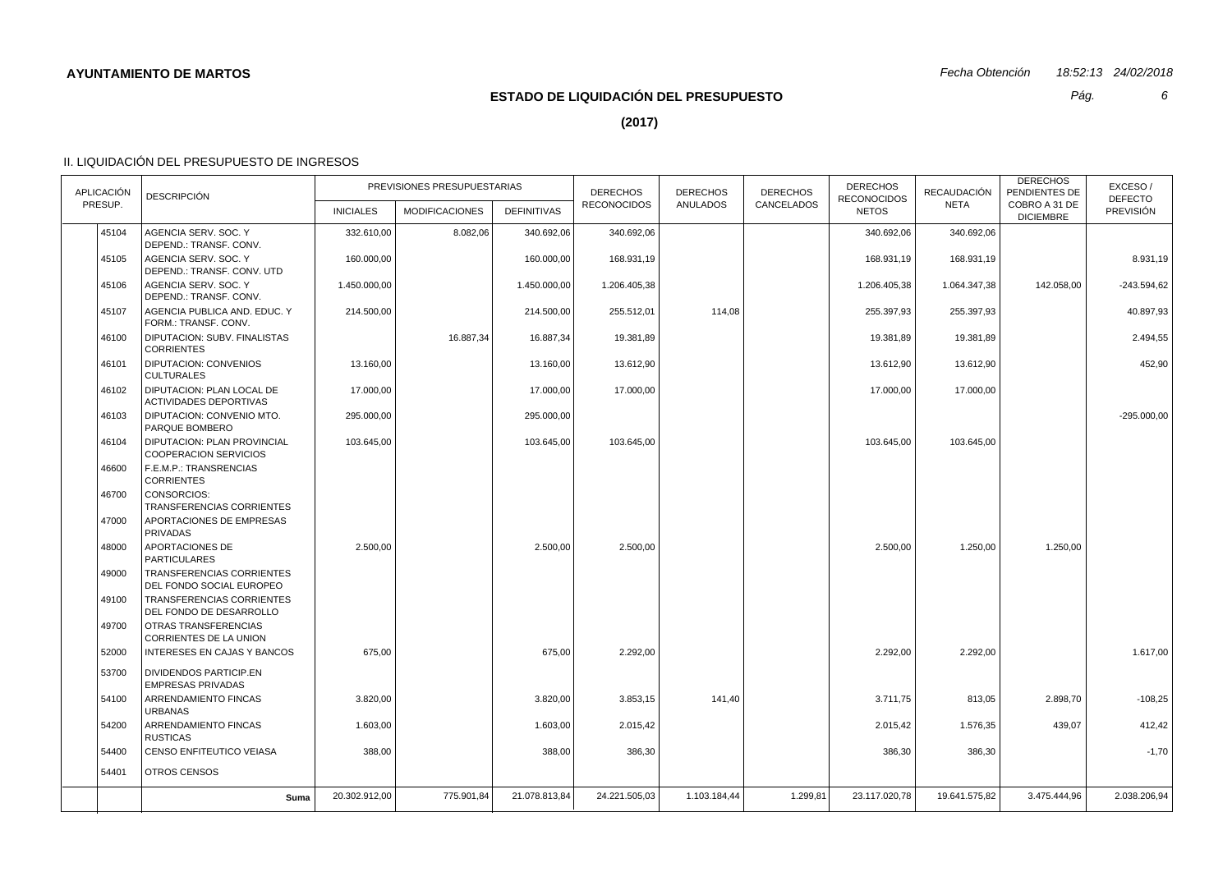# **ESTADO DE LIQUIDACIÓN DEL PRESUPUESTO**

*Pág.*

*6*

**(2017)**

| <b>APLICACIÓN</b> | <b>DESCRIPCIÓN</b>                                          | PREVISIONES PRESUPUESTARIAS |                       |                    | <b>DERECHOS</b>    | <b>DERECHOS</b> | <b>DERECHOS</b> | <b>DERECHOS</b><br><b>RECONOCIDOS</b> | RECAUDACIÓN   | <b>DERECHOS</b><br>PENDIENTES DE  | EXCESO/<br><b>DEFECTO</b> |
|-------------------|-------------------------------------------------------------|-----------------------------|-----------------------|--------------------|--------------------|-----------------|-----------------|---------------------------------------|---------------|-----------------------------------|---------------------------|
| PRESUP.           |                                                             | <b>INICIALES</b>            | <b>MODIFICACIONES</b> | <b>DEFINITIVAS</b> | <b>RECONOCIDOS</b> | <b>ANULADOS</b> | CANCELADOS      | <b>NETOS</b>                          | <b>NETA</b>   | COBRO A 31 DE<br><b>DICIEMBRE</b> | <b>PREVISIÓN</b>          |
| 45104             | AGENCIA SERV. SOC. Y<br>DEPEND.: TRANSF. CONV.              | 332.610,00                  | 8.082,06              | 340.692,06         | 340.692,06         |                 |                 | 340.692,06                            | 340.692,06    |                                   |                           |
| 45105             | AGENCIA SERV. SOC. Y<br>DEPEND.: TRANSF. CONV. UTD          | 160.000,00                  |                       | 160.000,00         | 168.931,19         |                 |                 | 168.931,19                            | 168.931,19    |                                   | 8.931,19                  |
| 45106             | AGENCIA SERV, SOC. Y<br>DEPEND.: TRANSF. CONV.              | 1.450.000,00                |                       | 1.450.000,00       | 1.206.405,38       |                 |                 | 1.206.405,38                          | 1.064.347,38  | 142.058,00                        | $-243.594.62$             |
| 45107             | AGENCIA PUBLICA AND. EDUC. Y<br>FORM.: TRANSF. CONV.        | 214.500,00                  |                       | 214.500,00         | 255.512,01         | 114,08          |                 | 255.397,93                            | 255.397,93    |                                   | 40.897,93                 |
| 46100             | DIPUTACION: SUBV. FINALISTAS<br><b>CORRIENTES</b>           |                             | 16.887,34             | 16.887,34          | 19.381,89          |                 |                 | 19.381,89                             | 19.381,89     |                                   | 2.494,55                  |
| 46101             | <b>DIPUTACION: CONVENIOS</b><br><b>CULTURALES</b>           | 13.160,00                   |                       | 13.160,00          | 13.612,90          |                 |                 | 13.612.90                             | 13.612,90     |                                   | 452,90                    |
| 46102             | DIPUTACION: PLAN LOCAL DE<br><b>ACTIVIDADES DEPORTIVAS</b>  | 17.000,00                   |                       | 17.000,00          | 17.000,00          |                 |                 | 17.000,00                             | 17.000,00     |                                   |                           |
| 46103             | DIPUTACION: CONVENIO MTO.<br>PARQUE BOMBERO                 | 295.000,00                  |                       | 295.000,00         |                    |                 |                 |                                       |               |                                   | $-295.000,00$             |
| 46104             | DIPUTACION: PLAN PROVINCIAL<br><b>COOPERACION SERVICIOS</b> | 103.645,00                  |                       | 103.645,00         | 103.645,00         |                 |                 | 103.645,00                            | 103.645,00    |                                   |                           |
| 46600             | F.E.M.P.: TRANSRENCIAS<br><b>CORRIENTES</b>                 |                             |                       |                    |                    |                 |                 |                                       |               |                                   |                           |
| 46700             | CONSORCIOS:<br>TRANSFERENCIAS CORRIENTES                    |                             |                       |                    |                    |                 |                 |                                       |               |                                   |                           |
| 47000             | APORTACIONES DE EMPRESAS<br><b>PRIVADAS</b>                 |                             |                       |                    |                    |                 |                 |                                       |               |                                   |                           |
| 48000             | APORTACIONES DE<br><b>PARTICULARES</b>                      | 2.500.00                    |                       | 2.500.00           | 2.500.00           |                 |                 | 2.500.00                              | 1.250,00      | 1.250,00                          |                           |
| 49000             | TRANSFERENCIAS CORRIENTES<br>DEL FONDO SOCIAL EUROPEO       |                             |                       |                    |                    |                 |                 |                                       |               |                                   |                           |
| 49100             | TRANSFERENCIAS CORRIENTES<br>DEL FONDO DE DESARROLLO        |                             |                       |                    |                    |                 |                 |                                       |               |                                   |                           |
| 49700             | OTRAS TRANSFERENCIAS<br>CORRIENTES DE LA UNION              |                             |                       |                    |                    |                 |                 |                                       |               |                                   |                           |
| 52000             | <b>INTERESES EN CAJAS Y BANCOS</b>                          | 675,00                      |                       | 675,00             | 2.292,00           |                 |                 | 2.292,00                              | 2.292,00      |                                   | 1.617,00                  |
| 53700             | <b>DIVIDENDOS PARTICIP.EN</b><br><b>EMPRESAS PRIVADAS</b>   |                             |                       |                    |                    |                 |                 |                                       |               |                                   |                           |
| 54100             | ARRENDAMIENTO FINCAS<br><b>URBANAS</b>                      | 3.820,00                    |                       | 3.820,00           | 3.853,15           | 141,40          |                 | 3.711,75                              | 813,05        | 2.898,70                          | $-108,25$                 |
| 54200             | ARRENDAMIENTO FINCAS<br><b>RUSTICAS</b>                     | 1.603,00                    |                       | 1.603,00           | 2.015,42           |                 |                 | 2.015,42                              | 1.576,35      | 439,07                            | 412,42                    |
| 54400             | CENSO ENFITEUTICO VEIASA                                    | 388,00                      |                       | 388,00             | 386,30             |                 |                 | 386,30                                | 386,30        |                                   | $-1,70$                   |
| 54401             | OTROS CENSOS                                                |                             |                       |                    |                    |                 |                 |                                       |               |                                   |                           |
|                   | Suma                                                        | 20.302.912,00               | 775.901,84            | 21.078.813,84      | 24.221.505,03      | 1.103.184,44    | 1.299,81        | 23.117.020,78                         | 19.641.575,82 | 3.475.444,96                      | 2.038.206,94              |
|                   |                                                             |                             |                       |                    |                    |                 |                 |                                       |               |                                   |                           |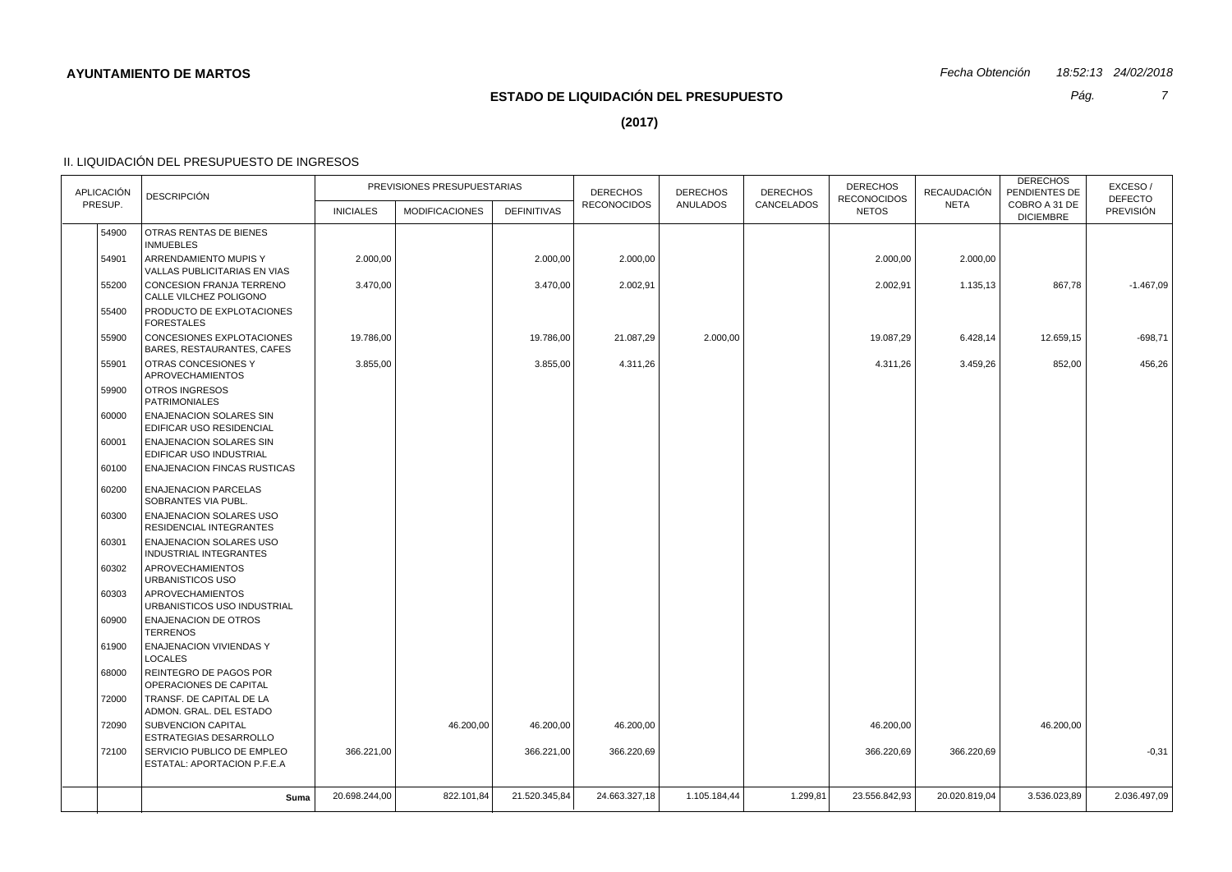*Pág.*

*7*

**(2017)**

| <b>APLICACIÓN</b> | <b>DESCRIPCIÓN</b>                                         | PREVISIONES PRESUPUESTARIAS |                       |                    | <b>DERECHOS</b>    | <b>DERECHOS</b><br>ANULADOS | <b>DERECHOS</b><br>CANCELADOS | <b>DERECHOS</b><br><b>RECONOCIDOS</b> | <b>RECAUDACIÓN</b> | <b>DERECHOS</b><br>PENDIENTES DE  | EXCESO/<br><b>DEFECTO</b> |
|-------------------|------------------------------------------------------------|-----------------------------|-----------------------|--------------------|--------------------|-----------------------------|-------------------------------|---------------------------------------|--------------------|-----------------------------------|---------------------------|
| PRESUP.           |                                                            | <b>INICIALES</b>            | <b>MODIFICACIONES</b> | <b>DEFINITIVAS</b> | <b>RECONOCIDOS</b> |                             |                               | <b>NETOS</b>                          | <b>NETA</b>        | COBRO A 31 DE<br><b>DICIEMBRE</b> | <b>PREVISIÓN</b>          |
| 54900             | OTRAS RENTAS DE BIENES<br><b>INMUEBLES</b>                 |                             |                       |                    |                    |                             |                               |                                       |                    |                                   |                           |
| 54901             | ARRENDAMIENTO MUPIS Y<br>VALLAS PUBLICITARIAS EN VIAS      | 2.000,00                    |                       | 2.000,00           | 2.000,00           |                             |                               | 2.000,00                              | 2.000,00           |                                   |                           |
| 55200             | CONCESION FRANJA TERRENO<br>CALLE VILCHEZ POLIGONO         | 3.470,00                    |                       | 3.470,00           | 2.002,91           |                             |                               | 2.002,91                              | 1.135,13           | 867,78                            | $-1.467,09$               |
| 55400             | PRODUCTO DE EXPLOTACIONES<br><b>FORESTALES</b>             |                             |                       |                    |                    |                             |                               |                                       |                    |                                   |                           |
| 55900             | CONCESIONES EXPLOTACIONES<br>BARES, RESTAURANTES, CAFES    | 19.786,00                   |                       | 19.786,00          | 21.087,29          | 2.000,00                    |                               | 19.087,29                             | 6.428,14           | 12.659,15                         | $-698,71$                 |
| 55901             | OTRAS CONCESIONES Y<br><b>APROVECHAMIENTOS</b>             | 3.855,00                    |                       | 3.855,00           | 4.311,26           |                             |                               | 4.311,26                              | 3.459,26           | 852,00                            | 456,26                    |
| 59900             | OTROS INGRESOS<br><b>PATRIMONIALES</b>                     |                             |                       |                    |                    |                             |                               |                                       |                    |                                   |                           |
| 60000             | <b>ENAJENACION SOLARES SIN</b><br>EDIFICAR USO RESIDENCIAL |                             |                       |                    |                    |                             |                               |                                       |                    |                                   |                           |
| 60001             | <b>ENAJENACION SOLARES SIN</b><br>EDIFICAR USO INDUSTRIAL  |                             |                       |                    |                    |                             |                               |                                       |                    |                                   |                           |
| 60100             | <b>ENAJENACION FINCAS RUSTICAS</b>                         |                             |                       |                    |                    |                             |                               |                                       |                    |                                   |                           |
| 60200             | <b>ENAJENACION PARCELAS</b><br>SOBRANTES VIA PUBL.         |                             |                       |                    |                    |                             |                               |                                       |                    |                                   |                           |
| 60300             | <b>ENAJENACION SOLARES USO</b><br>RESIDENCIAL INTEGRANTES  |                             |                       |                    |                    |                             |                               |                                       |                    |                                   |                           |
| 60301             | <b>ENAJENACION SOLARES USO</b><br>INDUSTRIAL INTEGRANTES   |                             |                       |                    |                    |                             |                               |                                       |                    |                                   |                           |
| 60302             | <b>APROVECHAMIENTOS</b><br>URBANISTICOS USO                |                             |                       |                    |                    |                             |                               |                                       |                    |                                   |                           |
| 60303             | <b>APROVECHAMIENTOS</b><br>URBANISTICOS USO INDUSTRIAL     |                             |                       |                    |                    |                             |                               |                                       |                    |                                   |                           |
| 60900             | <b>ENAJENACION DE OTROS</b><br><b>TERRENOS</b>             |                             |                       |                    |                    |                             |                               |                                       |                    |                                   |                           |
| 61900             | <b>ENAJENACION VIVIENDAS Y</b><br><b>LOCALES</b>           |                             |                       |                    |                    |                             |                               |                                       |                    |                                   |                           |
| 68000             | REINTEGRO DE PAGOS POR<br>OPERACIONES DE CAPITAL           |                             |                       |                    |                    |                             |                               |                                       |                    |                                   |                           |
| 72000             | TRANSF. DE CAPITAL DE LA<br>ADMON. GRAL. DEL ESTADO        |                             |                       |                    |                    |                             |                               |                                       |                    |                                   |                           |
| 72090             | <b>SUBVENCION CAPITAL</b><br>ESTRATEGIAS DESARROLLO        |                             | 46.200,00             | 46.200,00          | 46.200,00          |                             |                               | 46.200,00                             |                    | 46.200,00                         |                           |
| 72100             | SERVICIO PUBLICO DE EMPLEO<br>ESTATAL: APORTACION P.F.E.A  | 366.221,00                  |                       | 366.221,00         | 366.220,69         |                             |                               | 366.220,69                            | 366.220,69         |                                   | $-0,31$                   |
|                   |                                                            |                             |                       |                    |                    |                             |                               |                                       |                    |                                   |                           |
|                   | Suma                                                       | 20.698.244,00               | 822.101,84            | 21.520.345,84      | 24.663.327,18      | 1.105.184,44                | 1.299,81                      | 23.556.842,93                         | 20.020.819,04      | 3.536.023,89                      | 2.036.497,09              |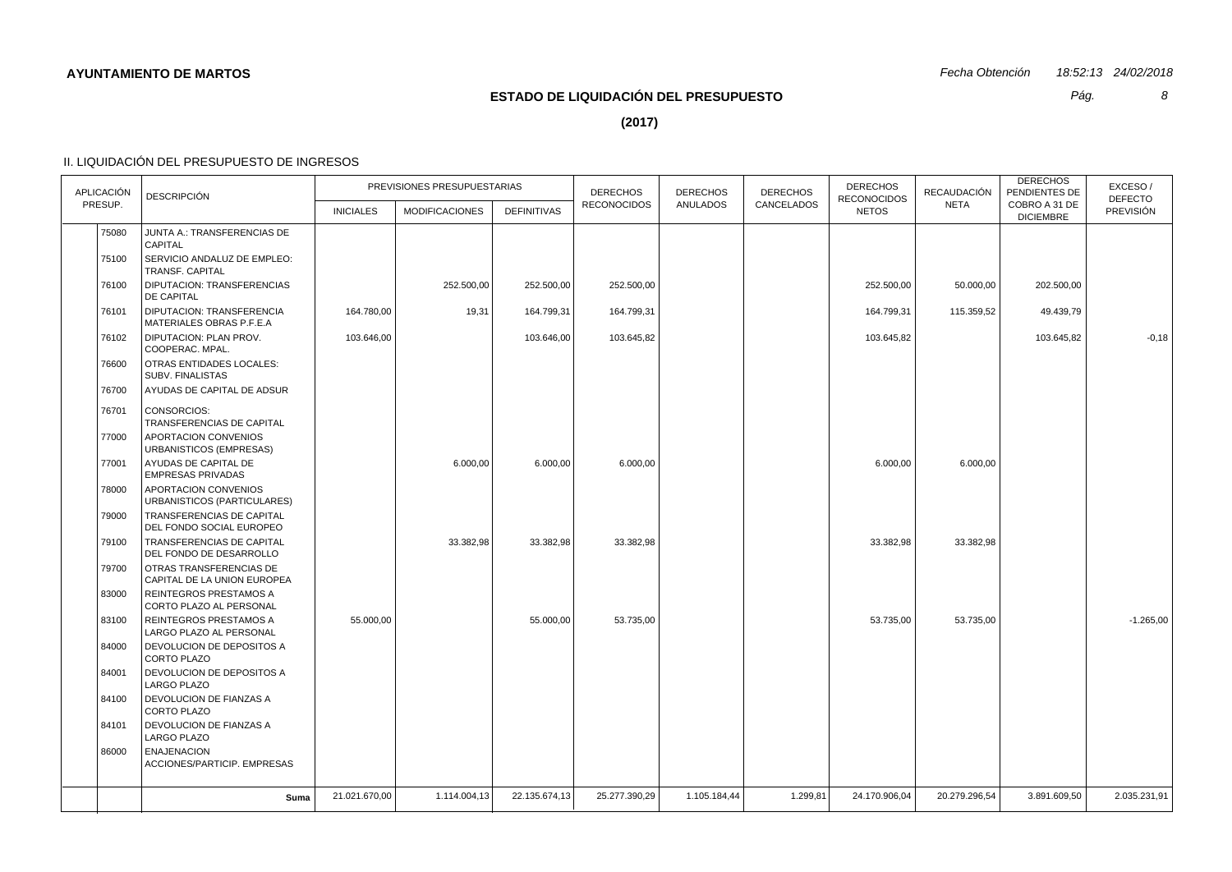# **ESTADO DE LIQUIDACIÓN DEL PRESUPUESTO**

*Pág.*

*8*

**(2017)**

| <b>APLICACIÓN</b> | <b>DESCRIPCIÓN</b>                                         | PREVISIONES PRESUPUESTARIAS |                       |                    | <b>DERECHOS</b>    | <b>DERECHOS</b> | <b>DERECHOS</b><br>CANCELADOS | <b>DERECHOS</b><br><b>RECONOCIDOS</b> | RECAUDACIÓN   | <b>DERECHOS</b><br>PENDIENTES DE  | EXCESO/<br><b>DEFECTO</b> |
|-------------------|------------------------------------------------------------|-----------------------------|-----------------------|--------------------|--------------------|-----------------|-------------------------------|---------------------------------------|---------------|-----------------------------------|---------------------------|
| PRESUP.           |                                                            | <b>INICIALES</b>            | <b>MODIFICACIONES</b> | <b>DEFINITIVAS</b> | <b>RECONOCIDOS</b> | <b>ANULADOS</b> |                               | <b>NETOS</b>                          | <b>NETA</b>   | COBRO A 31 DE<br><b>DICIEMBRE</b> | PREVISIÓN                 |
| 75080             | JUNTA A.: TRANSFERENCIAS DE<br><b>CAPITAL</b>              |                             |                       |                    |                    |                 |                               |                                       |               |                                   |                           |
| 75100             | SERVICIO ANDALUZ DE EMPLEO:<br><b>TRANSF. CAPITAL</b>      |                             |                       |                    |                    |                 |                               |                                       |               |                                   |                           |
| 76100             | DIPUTACION: TRANSFERENCIAS<br><b>DE CAPITAL</b>            |                             | 252.500,00            | 252.500,00         | 252.500,00         |                 |                               | 252.500,00                            | 50.000,00     | 202.500,00                        |                           |
| 76101             | DIPUTACION: TRANSFERENCIA<br>MATERIALES OBRAS P.F.E.A      | 164.780,00                  | 19,31                 | 164.799,31         | 164.799,31         |                 |                               | 164.799,31                            | 115.359,52    | 49.439,79                         |                           |
| 76102             | DIPUTACION: PLAN PROV.<br>COOPERAC. MPAL.                  | 103.646,00                  |                       | 103.646,00         | 103.645,82         |                 |                               | 103.645,82                            |               | 103.645,82                        | $-0,18$                   |
| 76600             | <b>OTRAS ENTIDADES LOCALES:</b><br><b>SUBV. FINALISTAS</b> |                             |                       |                    |                    |                 |                               |                                       |               |                                   |                           |
| 76700             | AYUDAS DE CAPITAL DE ADSUR                                 |                             |                       |                    |                    |                 |                               |                                       |               |                                   |                           |
| 76701             | CONSORCIOS:<br>TRANSFERENCIAS DE CAPITAL                   |                             |                       |                    |                    |                 |                               |                                       |               |                                   |                           |
| 77000             | <b>APORTACION CONVENIOS</b><br>URBANISTICOS (EMPRESAS)     |                             |                       |                    |                    |                 |                               |                                       |               |                                   |                           |
| 77001             | AYUDAS DE CAPITAL DE<br><b>EMPRESAS PRIVADAS</b>           |                             | 6.000,00              | 6.000,00           | 6.000,00           |                 |                               | 6.000,00                              | 6.000,00      |                                   |                           |
| 78000             | APORTACION CONVENIOS<br>URBANISTICOS (PARTICULARES)        |                             |                       |                    |                    |                 |                               |                                       |               |                                   |                           |
| 79000             | TRANSFERENCIAS DE CAPITAL<br>DEL FONDO SOCIAL EUROPEO      |                             |                       |                    |                    |                 |                               |                                       |               |                                   |                           |
| 79100             | TRANSFERENCIAS DE CAPITAL<br>DEL FONDO DE DESARROLLO       |                             | 33.382,98             | 33.382,98          | 33.382,98          |                 |                               | 33.382,98                             | 33.382,98     |                                   |                           |
| 79700             | OTRAS TRANSFERENCIAS DE<br>CAPITAL DE LA UNION EUROPEA     |                             |                       |                    |                    |                 |                               |                                       |               |                                   |                           |
| 83000             | <b>REINTEGROS PRESTAMOS A</b><br>CORTO PLAZO AL PERSONAL   |                             |                       |                    |                    |                 |                               |                                       |               |                                   |                           |
| 83100             | REINTEGROS PRESTAMOS A<br>LARGO PLAZO AL PERSONAL          | 55.000,00                   |                       | 55.000,00          | 53.735,00          |                 |                               | 53.735,00                             | 53.735,00     |                                   | $-1.265,00$               |
| 84000             | DEVOLUCION DE DEPOSITOS A<br><b>CORTO PLAZO</b>            |                             |                       |                    |                    |                 |                               |                                       |               |                                   |                           |
| 84001             | DEVOLUCION DE DEPOSITOS A<br><b>LARGO PLAZO</b>            |                             |                       |                    |                    |                 |                               |                                       |               |                                   |                           |
| 84100             | DEVOLUCION DE FIANZAS A<br><b>CORTO PLAZO</b>              |                             |                       |                    |                    |                 |                               |                                       |               |                                   |                           |
| 84101             | DEVOLUCION DE FIANZAS A<br><b>LARGO PLAZO</b>              |                             |                       |                    |                    |                 |                               |                                       |               |                                   |                           |
| 86000             | <b>ENAJENACION</b><br>ACCIONES/PARTICIP. EMPRESAS          |                             |                       |                    |                    |                 |                               |                                       |               |                                   |                           |
|                   | Suma                                                       | 21.021.670,00               | 1.114.004,13          | 22.135.674,13      | 25.277.390,29      | 1.105.184,44    | 1.299,81                      | 24.170.906,04                         | 20.279.296,54 | 3.891.609,50                      | 2.035.231,91              |